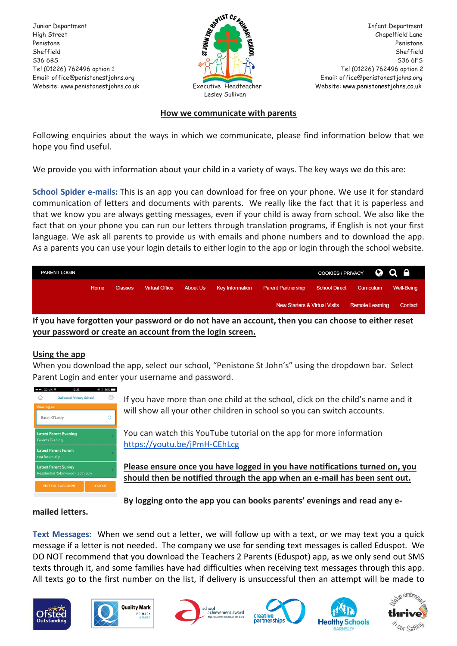Penistone **Penistone** Penistone **Penistone** Penistone **Penistone** Penistone Penistone Penistone Website: www.penistonestjohns.co.uk Executive Headteacher Website: [www.penistonestjohns.co.uk](http://www.penistonestjohns.co.uk/)



### **How we communicate with parents**

Following enquiries about the ways in which we communicate, please find information below that we hope you find useful.

We provide you with information about your child in a variety of ways. The key ways we do this are:

**School Spider e-mails:** This is an app you can download for free on your phone. We use it for standard communication of letters and documents with parents. We really like the fact that it is paperless and that we know you are always getting messages, even if your child is away from school. We also like the fact that on your phone you can run our letters through translation programs, if English is not your first language. We ask all parents to provide us with emails and phone numbers and to download the app. As a parents you can use your login details to either login to the app or login through the school website.

| <b>PARENT LOGIN</b>                                                                                                |      |                |                       |  |                          |                                          |               | COOKIES/PRIVACY <b>@ Q A</b> |                   |
|--------------------------------------------------------------------------------------------------------------------|------|----------------|-----------------------|--|--------------------------|------------------------------------------|---------------|------------------------------|-------------------|
|                                                                                                                    | Home | <b>Classes</b> | <b>Virtual Office</b> |  | About Us Key Information | <b>Parent Partnership</b>                | School Direct | Curriculum                   | <b>Well-Being</b> |
|                                                                                                                    |      |                |                       |  |                          | <b>New Starters &amp; Virtual Visits</b> |               | <b>Remote Learning</b>       | Contact           |
| <u>The contract have the communicational and a net begin an accessive than you. In a state to although a state</u> |      |                |                       |  |                          |                                          |               |                              |                   |

**If you have forgotten your password or do not have an account, then you can choose to either reset your password or create an account from the login screen.**

## **Using the app**

When you download the app, select our school, "Penistone St John's" using the dropdown bar. Select Parent Login and enter your username and password.



If you have more than one child at the school, click on the child's name and it will show all your other children in school so you can switch accounts.

You can watch this YouTube tutorial on the app for more information <https://youtu.be/jPmH-CEhLcg>

**Please ensure once you have logged in you have notifications turned on, you should then be notified through the app when an e-mail has been sent out.** 

**By logging onto the app you can books parents' evenings and read any e-**

## **mailed letters.**

**Text Messages:** When we send out a letter, we will follow up with a text, or we may text you a quick message if a letter is not needed. The company we use for sending text messages is called Eduspot. We DO NOT recommend that you download the Teachers 2 Parents (Eduspot) app, as we only send out SMS texts through it, and some families have had difficulties when receiving text messages through this app. All texts go to the first number on the list, if delivery is unsuccessful then an attempt will be made to











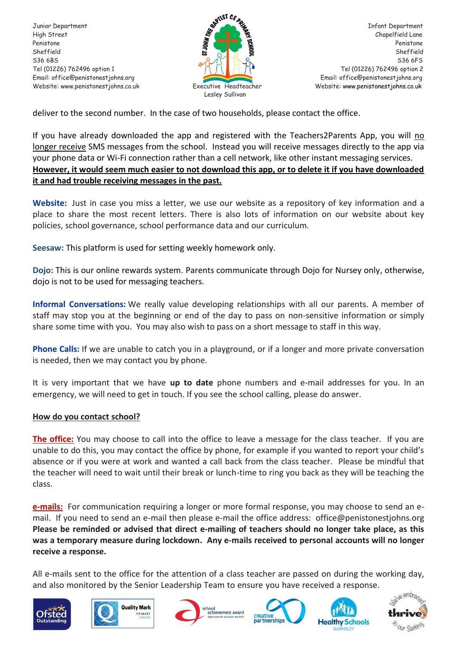Website: www.penistonestjohns.co.uk Executive Headteacher Website: [www.penistonestjohns.co.uk](http://www.penistonestjohns.co.uk/)



deliver to the second number. In the case of two households, please contact the office.

If you have already downloaded the app and registered with the Teachers2Parents App, you will no longer receive SMS messages from the school. Instead you will receive messages directly to the app via your phone data or Wi-Fi connection rather than a cell network, like other instant messaging services. **However, it would seem much easier to not download this app, or to delete it if you have downloaded it and had trouble receiving messages in the past.**

**Website:** Just in case you miss a letter, we use our website as a repository of key information and a place to share the most recent letters. There is also lots of information on our website about key policies, school governance, school performance data and our curriculum.

**Seesaw:** This platform is used for setting weekly homework only.

**Dojo:** This is our online rewards system. Parents communicate through Dojo for Nursey only, otherwise, dojo is not to be used for messaging teachers.

**Informal Conversations:** We really value developing relationships with all our parents. A member of staff may stop you at the beginning or end of the day to pass on non-sensitive information or simply share some time with you. You may also wish to pass on a short message to staff in this way.

**Phone Calls:** If we are unable to catch you in a playground, or if a longer and more private conversation is needed, then we may contact you by phone.

It is very important that we have **up to date** phone numbers and e-mail addresses for you. In an emergency, we will need to get in touch. If you see the school calling, please do answer.

## **How do you contact school?**

**The office:** You may choose to call into the office to leave a message for the class teacher. If you are unable to do this, you may contact the office by phone, for example if you wanted to report your child's absence or if you were at work and wanted a call back from the class teacher. Please be mindful that the teacher will need to wait until their break or lunch-time to ring you back as they will be teaching the class.

**e-mails:** For communication requiring a longer or more formal response, you may choose to send an email. If you need to send an e-mail then please e-mail the office address: office@penistonestjohns.org **Please be reminded or advised that direct e-mailing of teachers should no longer take place, as this was a temporary measure during lockdown. Any e-mails received to personal accounts will no longer receive a response.**

All e-mails sent to the office for the attention of a class teacher are passed on during the working day, and also monitored by the Senior Leadership Team to ensure you have received a response.